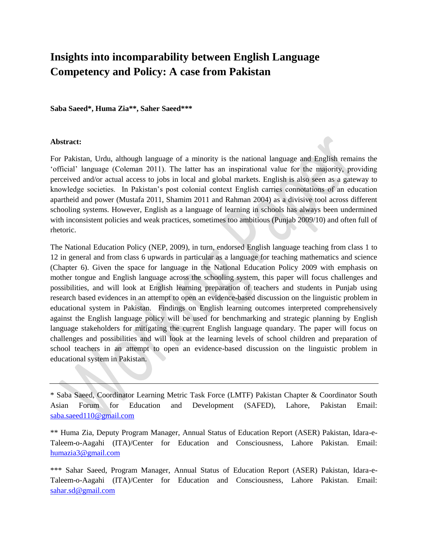## **Insights into incomparability between English Language Competency and Policy: A case from Pakistan**

**Saba Saeed\*, Huma Zia\*\*, Saher Saeed\*\*\***

#### **Abstract:**

For Pakistan, Urdu, although language of a minority is the national language and English remains the 'official' language (Coleman 2011). The latter has an inspirational value for the majority, providing perceived and/or actual access to jobs in local and global markets. English is also seen as a gateway to knowledge societies. In Pakistan's post colonial context English carries connotations of an education apartheid and power (Mustafa 2011, Shamim 2011 and Rahman 2004) as a divisive tool across different schooling systems. However, English as a language of learning in schools has always been undermined with inconsistent policies and weak practices, sometimes too ambitious (Punjab 2009/10) and often full of rhetoric.

The National Education Policy (NEP, 2009), in turn, endorsed English language teaching from class 1 to 12 in general and from class 6 upwards in particular as a language for teaching mathematics and science (Chapter 6). Given the space for language in the National Education Policy 2009 with emphasis on mother tongue and English language across the schooling system, this paper will focus challenges and possibilities, and will look at English learning preparation of teachers and students in Punjab using research based evidences in an attempt to open an evidence-based discussion on the linguistic problem in educational system in Pakistan. Findings on English learning outcomes interpreted comprehensively against the English language policy will be used for benchmarking and strategic planning by English language stakeholders for mitigating the current English language quandary. The paper will focus on challenges and possibilities and will look at the learning levels of school children and preparation of school teachers in an attempt to open an evidence-based discussion on the linguistic problem in educational system in Pakistan.

\* Saba Saeed, Coordinator Learning Metric Task Force (LMTF) Pakistan Chapter & Coordinator South Asian Forum for Education and Development (SAFED), Lahore, Pakistan Email: [saba.saeed110@gmail.com](mailto:saba.saeed110@gmail.com)

\*\* Huma Zia, Deputy Program Manager, Annual Status of Education Report (ASER) Pakistan, Idara-e-Taleem-o-Aagahi (ITA)/Center for Education and Consciousness, Lahore Pakistan. Email: [humazia3@gmail.com](mailto:humazia3@gmail.com)

\*\*\* Sahar Saeed, Program Manager, Annual Status of Education Report (ASER) Pakistan, Idara-e-Taleem-o-Aagahi (ITA)/Center for Education and Consciousness, Lahore Pakistan. Email: [sahar.sd@gmail.com](mailto:sahar.sd@gmail.com)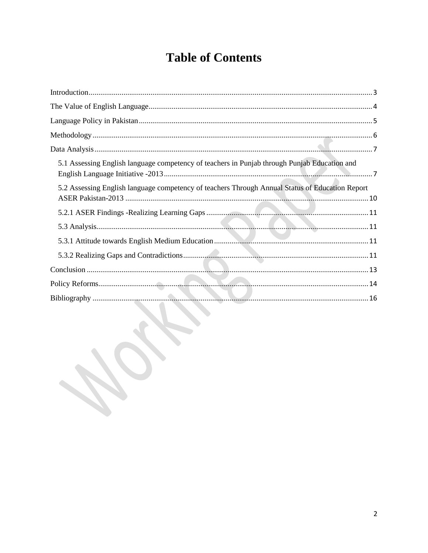# **Table of Contents**

| 5.1 Assessing English language competency of teachers in Punjab through Punjab Education and    |
|-------------------------------------------------------------------------------------------------|
| 5.2 Assessing English language competency of teachers Through Annual Status of Education Report |
|                                                                                                 |
|                                                                                                 |
|                                                                                                 |
|                                                                                                 |
|                                                                                                 |
|                                                                                                 |
| and the contract of the contract of the                                                         |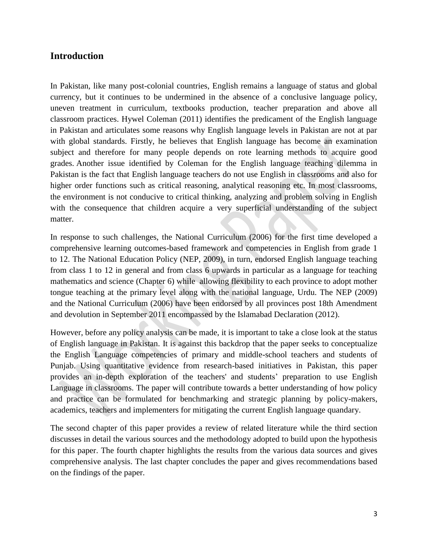## <span id="page-2-0"></span>**Introduction**

In Pakistan, like many post-colonial countries, English remains a language of status and global currency, but it continues to be undermined in the absence of a conclusive language policy, uneven treatment in curriculum, textbooks production, teacher preparation and above all classroom practices. Hywel Coleman (2011) identifies the predicament of the English language in Pakistan and articulates some reasons why English language levels in Pakistan are not at par with global standards. Firstly, he believes that English language has become an examination subject and therefore for many people depends on rote learning methods to acquire good grades. Another issue identified by Coleman for the English language teaching dilemma in Pakistan is the fact that English language teachers do not use English in classrooms and also for higher order functions such as critical reasoning, analytical reasoning etc. In most classrooms, the environment is not conducive to critical thinking, analyzing and problem solving in English with the consequence that children acquire a very superficial understanding of the subject matter.

In response to such challenges, the National Curriculum (2006) for the first time developed a comprehensive learning outcomes-based framework and competencies in English from grade 1 to 12. The National Education Policy (NEP, 2009), in turn, endorsed English language teaching from class 1 to 12 in general and from class 6 upwards in particular as a language for teaching mathematics and science (Chapter 6) while allowing flexibility to each province to adopt mother tongue teaching at the primary level along with the national language, Urdu. The NEP (2009) and the National Curriculum (2006) have been endorsed by all provinces post 18th Amendment and devolution in September 2011 encompassed by the Islamabad Declaration (2012).

However, before any policy analysis can be made, it is important to take a close look at the status of English language in Pakistan. It is against this backdrop that the paper seeks to conceptualize the English Language competencies of primary and middle-school teachers and students of Punjab. Using quantitative evidence from research-based initiatives in Pakistan, this paper provides an in-depth exploration of the teachers' and students' preparation to use English Language in classrooms. The paper will contribute towards a better understanding of how policy and practice can be formulated for benchmarking and strategic planning by policy-makers, academics, teachers and implementers for mitigating the current English language quandary.

The second chapter of this paper provides a review of related literature while the third section discusses in detail the various sources and the methodology adopted to build upon the hypothesis for this paper. The fourth chapter highlights the results from the various data sources and gives comprehensive analysis. The last chapter concludes the paper and gives recommendations based on the findings of the paper.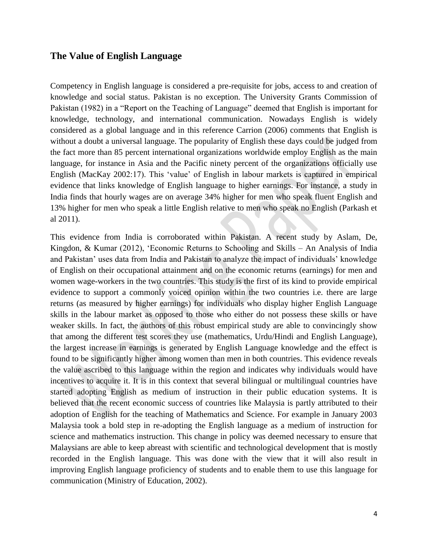#### <span id="page-3-0"></span>**The Value of English Language**

Competency in English language is considered a pre-requisite for jobs, access to and creation of knowledge and social status. Pakistan is no exception. The University Grants Commission of Pakistan (1982) in a "Report on the Teaching of Language" deemed that English is important for knowledge, technology, and international communication. Nowadays English is widely considered as a global language and in this reference Carrion (2006) comments that English is without a doubt a universal language. The popularity of English these days could be judged from the fact more than 85 percent international organizations worldwide employ English as the main language, for instance in Asia and the Pacific ninety percent of the organizations officially use English (MacKay 2002:17). This 'value' of English in labour markets is captured in empirical evidence that links knowledge of English language to higher earnings. For instance, a study in India finds that hourly wages are on average 34% higher for men who speak fluent English and 13% higher for men who speak a little English relative to men who speak no English (Parkash et al 2011).

This evidence from India is corroborated within Pakistan. A recent study by Aslam, De, Kingdon, & Kumar (2012), 'Economic Returns to Schooling and Skills – An Analysis of India and Pakistan' uses data from India and Pakistan to analyze the impact of individuals' knowledge of English on their occupational attainment and on the economic returns (earnings) for men and women wage-workers in the two countries. This study is the first of its kind to provide empirical evidence to support a commonly voiced opinion within the two countries i.e. there are large returns (as measured by higher earnings) for individuals who display higher English Language skills in the labour market as opposed to those who either do not possess these skills or have weaker skills. In fact, the authors of this robust empirical study are able to convincingly show that among the different test scores they use (mathematics, Urdu/Hindi and English Language), the largest increase in earnings is generated by English Language knowledge and the effect is found to be significantly higher among women than men in both countries. This evidence reveals the value ascribed to this language within the region and indicates why individuals would have incentives to acquire it. It is in this context that several bilingual or multilingual countries have started adopting English as medium of instruction in their public education systems. It is believed that the recent economic success of countries like Malaysia is partly attributed to their adoption of English for the teaching of Mathematics and Science. For example in January 2003 Malaysia took a bold step in re-adopting the English language as a medium of instruction for science and mathematics instruction. This change in policy was deemed necessary to ensure that Malaysians are able to keep abreast with scientific and technological development that is mostly recorded in the English language. This was done with the view that it will also result in improving English language proficiency of students and to enable them to use this language for communication (Ministry of Education, 2002).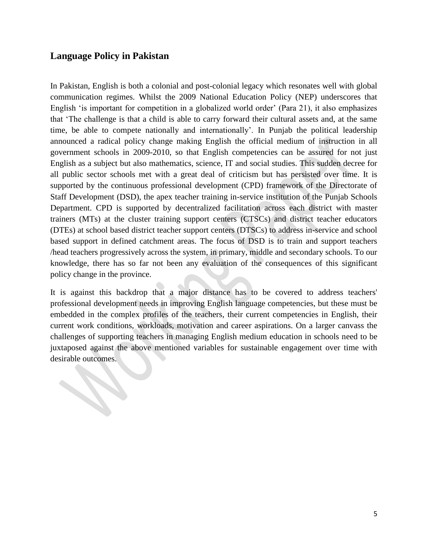## <span id="page-4-0"></span>**Language Policy in Pakistan**

**SERVICE** 

In Pakistan, English is both a colonial and post-colonial legacy which resonates well with global communication regimes. Whilst the 2009 National Education Policy (NEP) underscores that English 'is important for competition in a globalized world order' (Para 21), it also emphasizes that 'The challenge is that a child is able to carry forward their cultural assets and, at the same time, be able to compete nationally and internationally'. In Punjab the political leadership announced a radical policy change making English the official medium of instruction in all government schools in 2009-2010, so that English competencies can be assured for not just English as a subject but also mathematics, science, IT and social studies. This sudden decree for all public sector schools met with a great deal of criticism but has persisted over time. It is supported by the continuous professional development (CPD) framework of the Directorate of Staff Development (DSD), the apex teacher training in-service institution of the Punjab Schools Department. CPD is supported by decentralized facilitation across each district with master trainers (MTs) at the cluster training support centers (CTSCs) and district teacher educators (DTEs) at school based district teacher support centers (DTSCs) to address in-service and school based support in defined catchment areas. The focus of DSD is to train and support teachers /head teachers progressively across the system, in primary, middle and secondary schools. To our knowledge, there has so far not been any evaluation of the consequences of this significant policy change in the province.

It is against this backdrop that a major distance has to be covered to address teachers' professional development needs in improving English language competencies, but these must be embedded in the complex profiles of the teachers, their current competencies in English, their current work conditions, workloads, motivation and career aspirations. On a larger canvass the challenges of supporting teachers in managing English medium education in schools need to be juxtaposed against the above mentioned variables for sustainable engagement over time with desirable outcomes.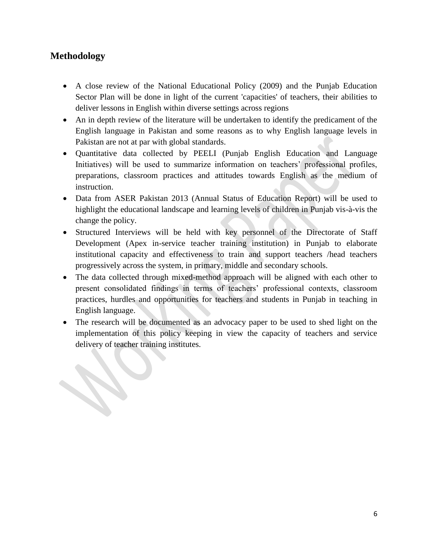## <span id="page-5-0"></span>**Methodology**

- A close review of the National Educational Policy (2009) and the Punjab Education Sector Plan will be done in light of the current 'capacities' of teachers, their abilities to deliver lessons in English within diverse settings across regions
- An in depth review of the literature will be undertaken to identify the predicament of the English language in Pakistan and some reasons as to why English language levels in Pakistan are not at par with global standards.
- Quantitative data collected by PEELI (Punjab English Education and Language Initiatives) will be used to summarize information on teachers' professional profiles, preparations, classroom practices and attitudes towards English as the medium of instruction.
- Data from ASER Pakistan 2013 (Annual Status of Education Report) will be used to highlight the educational landscape and learning levels of children in Punjab vis-à-vis the change the policy.
- Structured Interviews will be held with key personnel of the Directorate of Staff Development (Apex in-service teacher training institution) in Punjab to elaborate institutional capacity and effectiveness to train and support teachers /head teachers progressively across the system, in primary, middle and secondary schools.
- The data collected through mixed-method approach will be aligned with each other to present consolidated findings in terms of teachers' professional contexts, classroom practices, hurdles and opportunities for teachers and students in Punjab in teaching in English language.
- The research will be documented as an advocacy paper to be used to shed light on the implementation of this policy keeping in view the capacity of teachers and service delivery of teacher training institutes.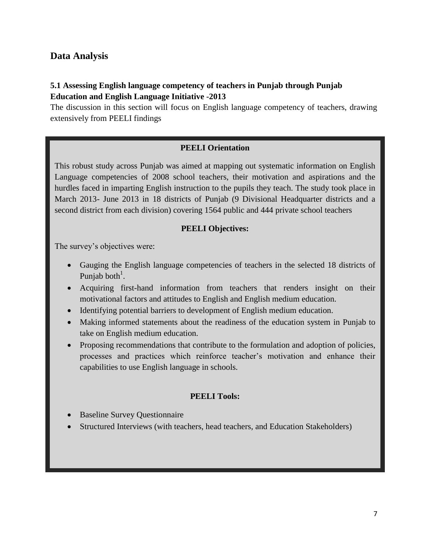## <span id="page-6-0"></span>**Data Analysis**

## <span id="page-6-1"></span>**5.1 Assessing English language competency of teachers in Punjab through Punjab Education and English Language Initiative -2013**

The discussion in this section will focus on English language competency of teachers, drawing extensively from PEELI findings

#### **PEELI Orientation**

This robust study across Punjab was aimed at mapping out systematic information on English Language competencies of 2008 school teachers, their motivation and aspirations and the hurdles faced in imparting English instruction to the pupils they teach. The study took place in March 2013- June 2013 in 18 districts of Punjab (9 Divisional Headquarter districts and a second district from each division) covering 1564 public and 444 private school teachers

## **PEELI Objectives:**

The survey's objectives were:

- Gauging the English language competencies of teachers in the selected 18 districts of Punjab both<sup>1</sup>.
- Acquiring first-hand information from teachers that renders insight on their motivational factors and attitudes to English and English medium education.
- Identifying potential barriers to development of English medium education.
- Making informed statements about the readiness of the education system in Punjab to take on English medium education.
- Proposing recommendations that contribute to the formulation and adoption of policies, processes and practices which reinforce teacher's motivation and enhance their capabilities to use English language in schools.

#### **PEELI Tools:**

- Baseline Survey Questionnaire
- Structured Interviews (with teachers, head teachers, and Education Stakeholders)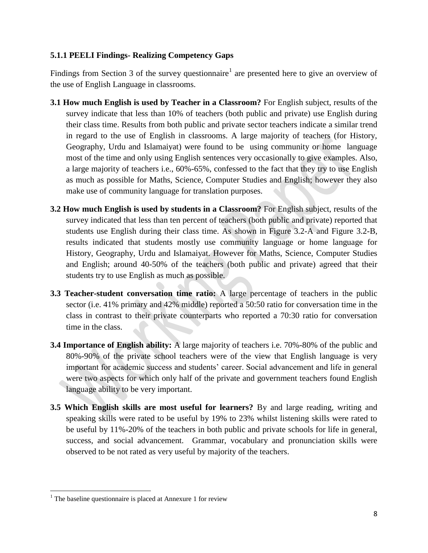#### **5.1.1 PEELI Findings- Realizing Competency Gaps**

Findings from Section 3 of the survey questionnaire<sup>1</sup> are presented here to give an overview of the use of English Language in classrooms.

- **3.1 How much English is used by Teacher in a Classroom?** For English subject, results of the survey indicate that less than 10% of teachers (both public and private) use English during their class time. Results from both public and private sector teachers indicate a similar trend in regard to the use of English in classrooms. A large majority of teachers (for History, Geography, Urdu and Islamaiyat) were found to be using community or home language most of the time and only using English sentences very occasionally to give examples. Also, a large majority of teachers i.e., 60%-65%, confessed to the fact that they try to use English as much as possible for Maths, Science, Computer Studies and English; however they also make use of community language for translation purposes.
- **3.2 How much English is used by students in a Classroom?** For English subject, results of the survey indicated that less than ten percent of teachers (both public and private) reported that students use English during their class time. As shown in Figure 3.2-A and Figure 3.2-B, results indicated that students mostly use community language or home language for History, Geography, Urdu and Islamaiyat. However for Maths, Science, Computer Studies and English; around 40-50% of the teachers (both public and private) agreed that their students try to use English as much as possible.
- **3.3 Teacher-student conversation time ratio:** A large percentage of teachers in the public sector (i.e. 41% primary and 42% middle) reported a 50:50 ratio for conversation time in the class in contrast to their private counterparts who reported a 70:30 ratio for conversation time in the class.
- **3.4 Importance of English ability:** A large majority of teachers i.e. 70%-80% of the public and 80%-90% of the private school teachers were of the view that English language is very important for academic success and students' career. Social advancement and life in general were two aspects for which only half of the private and government teachers found English language ability to be very important.
- **3.5 Which English skills are most useful for learners?** By and large reading, writing and speaking skills were rated to be useful by 19% to 23% whilst listening skills were rated to be useful by 11%-20% of the teachers in both public and private schools for life in general, success, and social advancement. Grammar, vocabulary and pronunciation skills were observed to be not rated as very useful by majority of the teachers.

 $\overline{\phantom{a}}$ 

 $1$  The baseline questionnaire is placed at Annexure 1 for review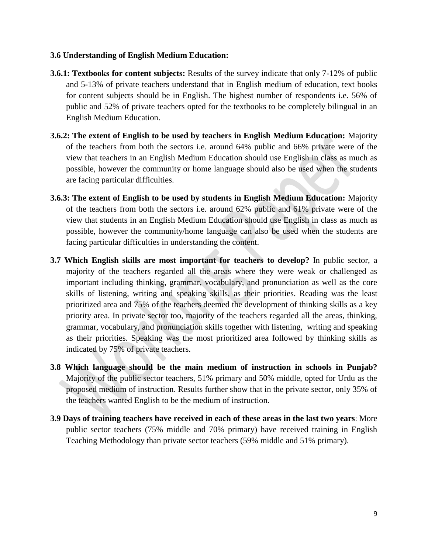#### **3.6 Understanding of English Medium Education:**

- **3.6.1: Textbooks for content subjects:** Results of the survey indicate that only 7-12% of public and 5-13% of private teachers understand that in English medium of education, text books for content subjects should be in English. The highest number of respondents i.e. 56% of public and 52% of private teachers opted for the textbooks to be completely bilingual in an English Medium Education.
- **3.6.2: The extent of English to be used by teachers in English Medium Education:** Majority of the teachers from both the sectors i.e. around 64% public and 66% private were of the view that teachers in an English Medium Education should use English in class as much as possible, however the community or home language should also be used when the students are facing particular difficulties.
- **3.6.3: The extent of English to be used by students in English Medium Education:** Majority of the teachers from both the sectors i.e. around 62% public and 61% private were of the view that students in an English Medium Education should use English in class as much as possible, however the community/home language can also be used when the students are facing particular difficulties in understanding the content.
- **3.7 Which English skills are most important for teachers to develop?** In public sector, a majority of the teachers regarded all the areas where they were weak or challenged as important including thinking, grammar, vocabulary, and pronunciation as well as the core skills of listening, writing and speaking skills, as their priorities. Reading was the least prioritized area and 75% of the teachers deemed the development of thinking skills as a key priority area. In private sector too, majority of the teachers regarded all the areas, thinking, grammar, vocabulary, and pronunciation skills together with listening, writing and speaking as their priorities. Speaking was the most prioritized area followed by thinking skills as indicated by 75% of private teachers.
- **3.8 Which language should be the main medium of instruction in schools in Punjab?**  Majority of the public sector teachers, 51% primary and 50% middle, opted for Urdu as the proposed medium of instruction. Results further show that in the private sector, only 35% of the teachers wanted English to be the medium of instruction.
- **3.9 Days of training teachers have received in each of these areas in the last two years**: More public sector teachers (75% middle and 70% primary) have received training in English Teaching Methodology than private sector teachers (59% middle and 51% primary).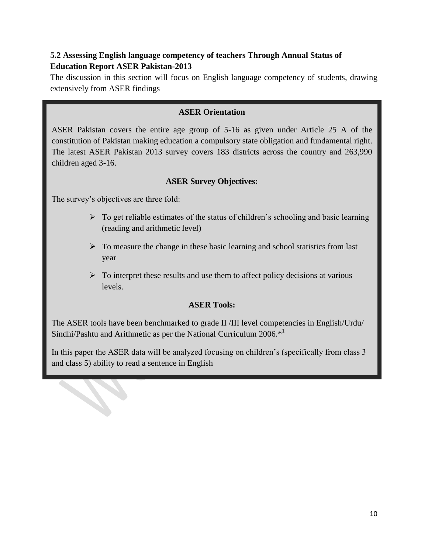## <span id="page-9-0"></span>**5.2 Assessing English language competency of teachers Through Annual Status of Education Report ASER Pakistan-2013**

The discussion in this section will focus on English language competency of students, drawing extensively from ASER findings

#### **ASER Orientation**

ASER Pakistan covers the entire age group of 5-16 as given under Article 25 A of the constitution of Pakistan making education a compulsory state obligation and fundamental right. The latest ASER Pakistan 2013 survey covers 183 districts across the country and 263,990 children aged 3-16.

## **ASER Survey Objectives:**

The survey's objectives are three fold:

- $\triangleright$  To get reliable estimates of the status of children's schooling and basic learning (reading and arithmetic level)
- $\triangleright$  To measure the change in these basic learning and school statistics from last year
- $\triangleright$  To interpret these results and use them to affect policy decisions at various levels.

#### **ASER Tools:**

The ASER tools have been benchmarked to grade II /III level competencies in English/Urdu/ Sindhi/Pashtu and Arithmetic as per the National Curriculum 2006.<sup>\*1</sup>

In this paper the ASER data will be analyzed focusing on children's (specifically from class 3 and class 5) ability to read a sentence in English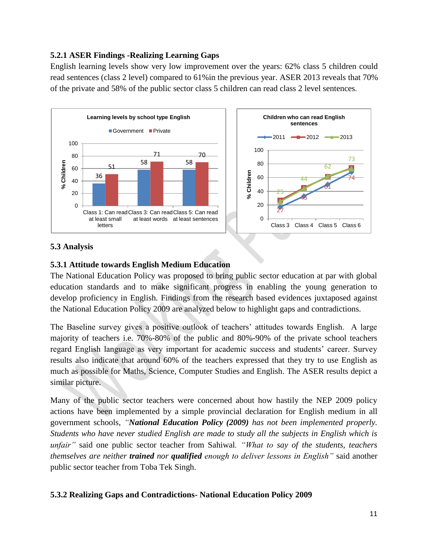## <span id="page-10-0"></span>**5.2.1 ASER Findings -Realizing Learning Gaps**

English learning levels show very low improvement over the years: 62% class 5 children could read sentences (class 2 level) compared to 61%in the previous year. ASER 2013 reveals that 70% of the private and 58% of the public sector class 5 children can read class 2 level sentences.





## <span id="page-10-1"></span>**5.3 Analysis**

## <span id="page-10-2"></span>**5.3.1 Attitude towards English Medium Education**

The National Education Policy was proposed to bring public sector education at par with global education standards and to make significant progress in enabling the young generation to develop proficiency in English. Findings from the research based evidences juxtaposed against the National Education Policy 2009 are analyzed below to highlight gaps and contradictions.

The Baseline survey gives a positive outlook of teachers' attitudes towards English. A large majority of teachers i.e. 70%-80% of the public and 80%-90% of the private school teachers regard English language as very important for academic success and students' career. Survey results also indicate that around 60% of the teachers expressed that they try to use English as much as possible for Maths, Science, Computer Studies and English. The ASER results depict a similar picture.

Many of the public sector teachers were concerned about how hastily the NEP 2009 policy actions have been implemented by a simple provincial declaration for English medium in all government schools, *"National Education Policy (2009) has not been implemented properly. Students who have never studied English are made to study all the subjects in English which is unfair"* said one public sector teacher from Sahiwal*. "What to say of the students, teachers themselves are neither trained nor qualified enough to deliver lessons in English"* said another public sector teacher from Toba Tek Singh.

#### <span id="page-10-3"></span>**5.3.2 Realizing Gaps and Contradictions- National Education Policy 2009**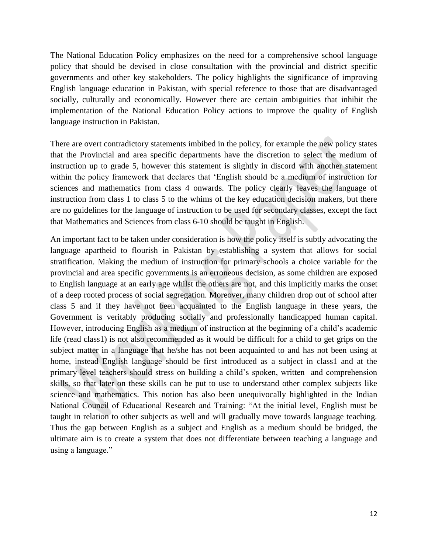The National Education Policy emphasizes on the need for a comprehensive school language policy that should be devised in close consultation with the provincial and district specific governments and other key stakeholders. The policy highlights the significance of improving English language education in Pakistan, with special reference to those that are disadvantaged socially, culturally and economically. However there are certain ambiguities that inhibit the implementation of the National Education Policy actions to improve the quality of English language instruction in Pakistan.

There are overt contradictory statements imbibed in the policy, for example the new policy states that the Provincial and area specific departments have the discretion to select the medium of instruction up to grade 5, however this statement is slightly in discord with another statement within the policy framework that declares that 'English should be a medium of instruction for sciences and mathematics from class 4 onwards. The policy clearly leaves the language of instruction from class 1 to class 5 to the whims of the key education decision makers, but there are no guidelines for the language of instruction to be used for secondary classes, except the fact that Mathematics and Sciences from class 6-10 should be taught in English.

An important fact to be taken under consideration is how the policy itself is subtly advocating the language apartheid to flourish in Pakistan by establishing a system that allows for social stratification. Making the medium of instruction for primary schools a choice variable for the provincial and area specific governments is an erroneous decision, as some children are exposed to English language at an early age whilst the others are not, and this implicitly marks the onset of a deep rooted process of social segregation. Moreover, many children drop out of school after class 5 and if they have not been acquainted to the English language in these years, the Government is veritably producing socially and professionally handicapped human capital. However, introducing English as a medium of instruction at the beginning of a child's academic life (read class1) is not also recommended as it would be difficult for a child to get grips on the subject matter in a language that he/she has not been acquainted to and has not been using at home, instead English language should be first introduced as a subject in class1 and at the primary level teachers should stress on building a child's spoken, written and comprehension skills, so that later on these skills can be put to use to understand other complex subjects like science and mathematics. This notion has also been unequivocally highlighted in the Indian National Council of Educational Research and Training: "At the initial level, English must be taught in relation to other subjects as well and will gradually move towards language teaching. Thus the gap between English as a subject and English as a medium should be bridged, the ultimate aim is to create a system that does not differentiate between teaching a language and using a language."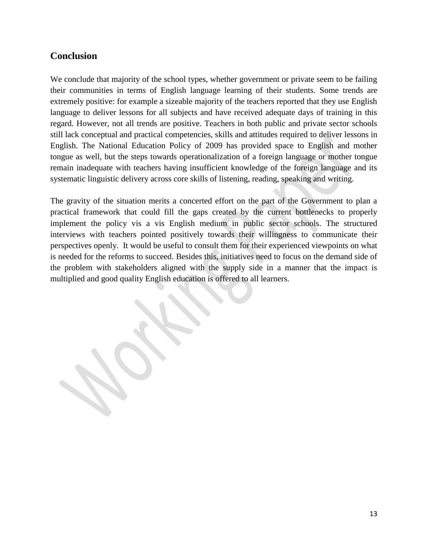## <span id="page-12-0"></span>**Conclusion**

We conclude that majority of the school types, whether government or private seem to be failing their communities in terms of English language learning of their students. Some trends are extremely positive: for example a sizeable majority of the teachers reported that they use English language to deliver lessons for all subjects and have received adequate days of training in this regard. However, not all trends are positive. Teachers in both public and private sector schools still lack conceptual and practical competencies, skills and attitudes required to deliver lessons in English. The National Education Policy of 2009 has provided space to English and mother tongue as well, but the steps towards operationalization of a foreign language or mother tongue remain inadequate with teachers having insufficient knowledge of the foreign language and its systematic linguistic delivery across core skills of listening, reading, speaking and writing.

The gravity of the situation merits a concerted effort on the part of the Government to plan a practical framework that could fill the gaps created by the current bottlenecks to properly implement the policy vis a vis English medium in public sector schools. The structured interviews with teachers pointed positively towards their willingness to communicate their perspectives openly. It would be useful to consult them for their experienced viewpoints on what is needed for the reforms to succeed. Besides this, initiatives need to focus on the demand side of the problem with stakeholders aligned with the supply side in a manner that the impact is multiplied and good quality English education is offered to all learners.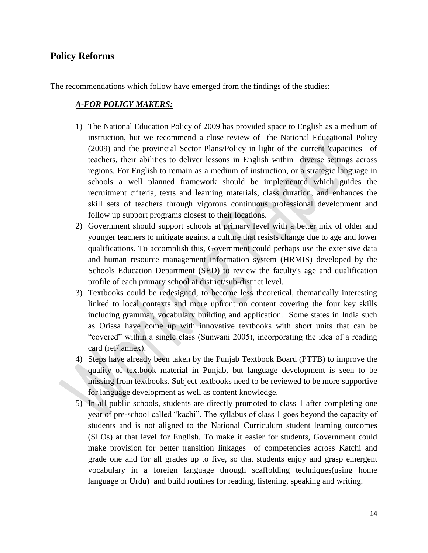## <span id="page-13-0"></span>**Policy Reforms**

The recommendations which follow have emerged from the findings of the studies:

#### *A-FOR POLICY MAKERS:*

- 1) The National Education Policy of 2009 has provided space to English as a medium of instruction, but we recommend a close review of the National Educational Policy (2009) and the provincial Sector Plans/Policy in light of the current 'capacities' of teachers, their abilities to deliver lessons in English within diverse settings across regions. For English to remain as a medium of instruction, or a strategic language in schools a well planned framework should be implemented which guides the recruitment criteria, texts and learning materials, class duration, and enhances the skill sets of teachers through vigorous continuous professional development and follow up support programs closest to their locations.
- 2) Government should support schools at primary level with a better mix of older and younger teachers to mitigate against a culture that resists change due to age and lower qualifications. To accomplish this, Government could perhaps use the extensive data and human resource management information system (HRMIS) developed by the Schools Education Department (SED) to review the faculty's age and qualification profile of each primary school at district/sub-district level.
- 3) Textbooks could be redesigned, to become less theoretical, thematically interesting linked to local contexts and more upfront on content covering the four key skills including grammar, vocabulary building and application. Some states in India such as Orissa have come up with innovative textbooks with short units that can be "covered" within a single class (Sunwani 2005), incorporating the idea of a reading card (ref/.annex).
- 4) Steps have already been taken by the Punjab Textbook Board (PTTB) to improve the quality of textbook material in Punjab, but language development is seen to be missing from textbooks. Subject textbooks need to be reviewed to be more supportive for language development as well as content knowledge.
- 5) In all public schools, students are directly promoted to class 1 after completing one year of pre-school called "kachi". The syllabus of class 1 goes beyond the capacity of students and is not aligned to the National Curriculum student learning outcomes (SLOs) at that level for English. To make it easier for students, Government could make provision for better transition linkages of competencies across Katchi and grade one and for all grades up to five, so that students enjoy and grasp emergent vocabulary in a foreign language through scaffolding techniques(using home language or Urdu) and build routines for reading, listening, speaking and writing.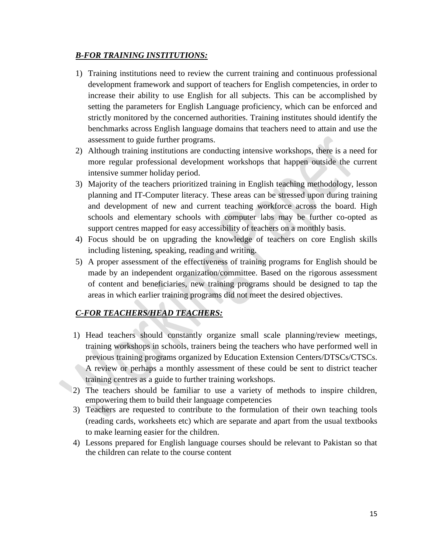#### *B-FOR TRAINING INSTITUTIONS:*

- 1) Training institutions need to review the current training and continuous professional development framework and support of teachers for English competencies, in order to increase their ability to use English for all subjects. This can be accomplished by setting the parameters for English Language proficiency, which can be enforced and strictly monitored by the concerned authorities. Training institutes should identify the benchmarks across English language domains that teachers need to attain and use the assessment to guide further programs.
- 2) Although training institutions are conducting intensive workshops, there is a need for more regular professional development workshops that happen outside the current intensive summer holiday period.
- 3) Majority of the teachers prioritized training in English teaching methodology, lesson planning and IT-Computer literacy. These areas can be stressed upon during training and development of new and current teaching workforce across the board. High schools and elementary schools with computer labs may be further co-opted as support centres mapped for easy accessibility of teachers on a monthly basis.
- 4) Focus should be on upgrading the knowledge of teachers on core English skills including listening, speaking, reading and writing.
- 5) A proper assessment of the effectiveness of training programs for English should be made by an independent organization/committee. Based on the rigorous assessment of content and beneficiaries, new training programs should be designed to tap the areas in which earlier training programs did not meet the desired objectives.

## *C-FOR TEACHERS/HEAD TEACHERS:*

- 1) Head teachers should constantly organize small scale planning/review meetings, training workshops in schools, trainers being the teachers who have performed well in previous training programs organized by Education Extension Centers/DTSCs/CTSCs. A review or perhaps a monthly assessment of these could be sent to district teacher training centres as a guide to further training workshops.
- 2) The teachers should be familiar to use a variety of methods to inspire children, empowering them to build their language competencies
- 3) Teachers are requested to contribute to the formulation of their own teaching tools (reading cards, worksheets etc) which are separate and apart from the usual textbooks to make learning easier for the children.
- 4) Lessons prepared for English language courses should be relevant to Pakistan so that the children can relate to the course content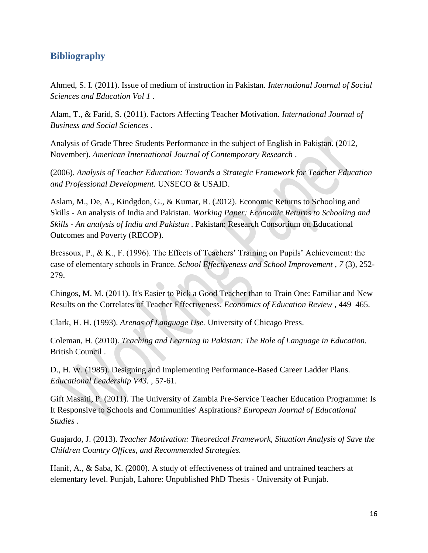## <span id="page-15-0"></span>**Bibliography**

Ahmed, S. I. (2011). Issue of medium of instruction in Pakistan. *International Journal of Social Sciences and Education Vol 1* .

Alam, T., & Farid, S. (2011). Factors Affecting Teacher Motivation. *International Journal of Business and Social Sciences* .

Analysis of Grade Three Students Performance in the subject of English in Pakistan. (2012, November). *American International Journal of Contemporary Research* .

(2006). *Analysis of Teacher Education: Towards a Strategic Framework for Teacher Education and Professional Development.* UNSECO & USAID.

Aslam, M., De, A., Kindgdon, G., & Kumar, R. (2012). Economic Returns to Schooling and Skills - An analysis of India and Pakistan. *Working Paper: Economic Returns to Schooling and Skills - An analysis of India and Pakistan* . Pakistan: Research Consortium on Educational Outcomes and Poverty (RECOP).

Bressoux, P., & K., F. (1996). The Effects of Teachers' Training on Pupils' Achievement: the case of elementary schools in France. *School Effectiveness and School Improvement , 7* (3), 252- 279.

Chingos, M. M. (2011). It's Easier to Pick a Good Teacher than to Train One: Familiar and New Results on the Correlates of Teacher Effectiveness. *Economics of Education Review* , 449–465.

Clark, H. H. (1993). *Arenas of Language Use.* University of Chicago Press.

Coleman, H. (2010). *Teaching and Learning in Pakistan: The Role of Language in Education.* British Council .

D., H. W. (1985). Designing and Implementing Performance-Based Career Ladder Plans. *Educational Leadership V43.* , 57-61.

Gift Masaiti, P. (2011). The University of Zambia Pre-Service Teacher Education Programme: Is It Responsive to Schools and Communities' Aspirations? *European Journal of Educational Studies* .

Guajardo, J. (2013). *Teacher Motivation: Theoretical Framework, Situation Analysis of Save the Children Country Offices, and Recommended Strategies.*

Hanif, A., & Saba, K. (2000). A study of effectiveness of trained and untrained teachers at elementary level. Punjab, Lahore: Unpublished PhD Thesis - University of Punjab.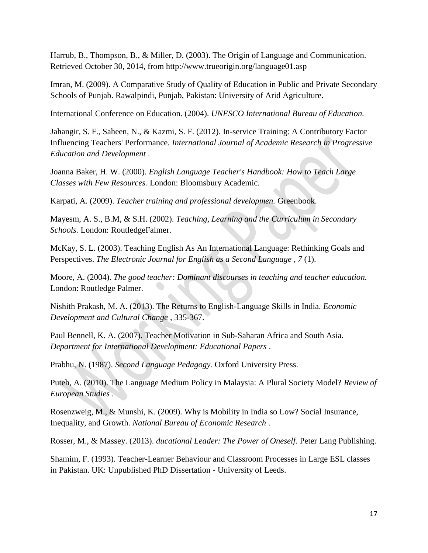Harrub, B., Thompson, B., & Miller, D. (2003). The Origin of Language and Communication. Retrieved October 30, 2014, from http://www.trueorigin.org/language01.asp

Imran, M. (2009). A Comparative Study of Quality of Education in Public and Private Secondary Schools of Punjab. Rawalpindi, Punjab, Pakistan: University of Arid Agriculture.

International Conference on Education. (2004). *UNESCO International Bureau of Education.*

Jahangir, S. F., Saheen, N., & Kazmi, S. F. (2012). In-service Training: A Contributory Factor Influencing Teachers' Performance. *International Journal of Academic Research in Progressive Education and Development* .

Joanna Baker, H. W. (2000). *English Language Teacher's Handbook: How to Teach Large Classes with Few Resources.* London: Bloomsbury Academic.

Karpati, A. (2009). *Teacher training and professional developmen.* Greenbook.

Mayesm, A. S., B.M, & S.H. (2002). *Teaching, Learning and the Curriculum in Secondary Schools.* London: RoutledgeFalmer.

McKay, S. L. (2003). Teaching English As An International Language: Rethinking Goals and Perspectives. *The Electronic Journal for English as a Second Language , 7* (1).

Moore, A. (2004). *The good teacher: Dominant discourses in teaching and teacher education.* London: Routledge Palmer.

Nishith Prakash, M. A. (2013). The Returns to English-Language Skills in India. *Economic Development and Cultural Change* , 335-367.

Paul Bennell, K. A. (2007). Teacher Motivation in Sub-Saharan Africa and South Asia. *Department for International Development: Educational Papers* .

Prabhu, N. (1987). *Second Language Pedagogy.* Oxford University Press.

Puteh, A. (2010). The Language Medium Policy in Malaysia: A Plural Society Model? *Review of European Studies* .

Rosenzweig, M., & Munshi, K. (2009). Why is Mobility in India so Low? Social Insurance, Inequality, and Growth. *National Bureau of Economic Research* .

Rosser, M., & Massey. (2013). *ducational Leader: The Power of Oneself.* Peter Lang Publishing.

Shamim, F. (1993). Teacher-Learner Behaviour and Classroom Processes in Large ESL classes in Pakistan. UK: Unpublished PhD Dissertation - University of Leeds.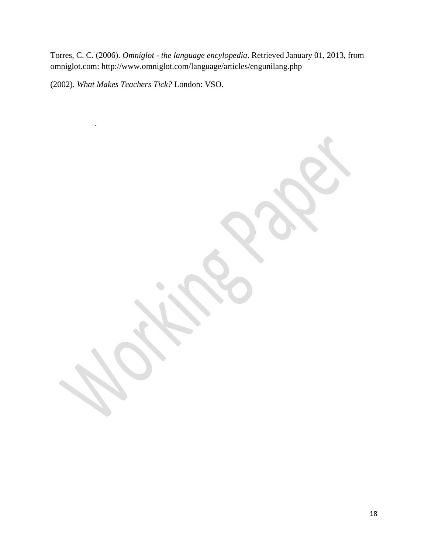Torres, C. C. (2006). *Omniglot - the language encylopedia*. Retrieved January 01, 2013, from omniglot.com: http://www.omniglot.com/language/articles/engunilang.php

(2002). *What Makes Teachers Tick?* London: VSO.

.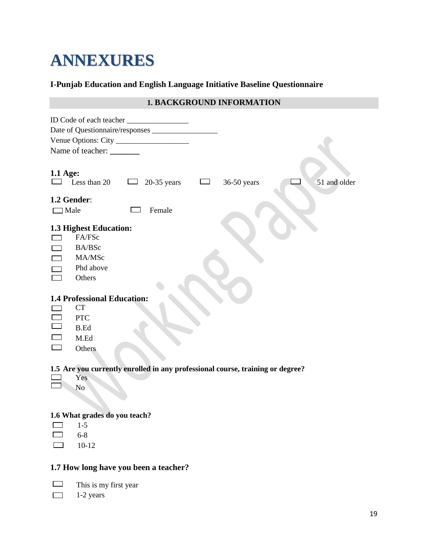# **ANNEXURES**

## **I-Punjab Education and English Language Initiative Baseline Questionnaire**

## **1. BACKGROUND INFORMATION**

|                            | Name of teacher: ________                                                   |                                                                                |            |             |              |
|----------------------------|-----------------------------------------------------------------------------|--------------------------------------------------------------------------------|------------|-------------|--------------|
| 1.1 Age:<br>1.2 Gender:    | Less than 20                                                                | $20-35$ years<br>$\Box$                                                        | المستطيعات | 36-50 years | 51 and older |
| $\Box$ Male                |                                                                             | Female                                                                         |            |             |              |
| $\Box$<br>$\Box$<br>$\Box$ | 1.3 Highest Education:<br>FA/FSc<br>BA/BSc<br>MA/MSc<br>Phd above<br>Others |                                                                                |            |             |              |
|                            | <b>1.4 Professional Education:</b>                                          |                                                                                |            |             |              |
|                            | <b>CT</b>                                                                   |                                                                                |            |             |              |
| $\Box$                     | <b>PTC</b>                                                                  |                                                                                |            |             |              |
| $\Box$                     | <b>B.Ed</b>                                                                 |                                                                                |            |             |              |
|                            | M.Ed                                                                        |                                                                                |            |             |              |
|                            | Others                                                                      |                                                                                |            |             |              |
|                            | Yes<br>No                                                                   | 1.5 Are you currently enrolled in any professional course, training or degree? |            |             |              |
|                            |                                                                             |                                                                                |            |             |              |
|                            | 1.6 What grades do you teach?<br>$1-5$                                      |                                                                                |            |             |              |
|                            | $6 - 8$                                                                     |                                                                                |            |             |              |
|                            | $10-12$                                                                     |                                                                                |            |             |              |
|                            |                                                                             |                                                                                |            |             |              |

## **1.7 How long have you been a teacher?**

 $\Box$  This is my first year

 $\Box$  1-2 years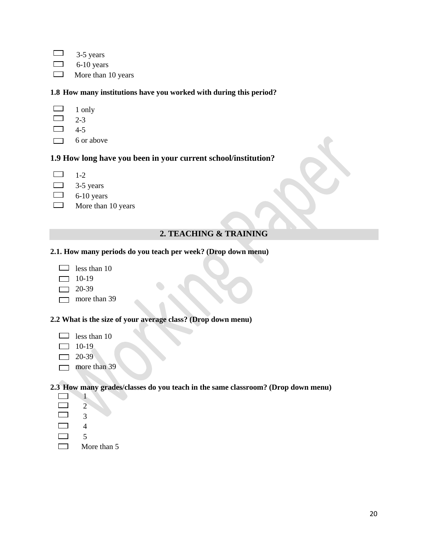$\Box$  3-5 years  $\Box$  6-10 years  $\Box$  More than 10 years

**1.8 How many institutions have you worked with during this period?**

 $\Box$  1 only  $\Box$  2-3  $\Box$  4-5  $\Box$  6 or above

#### **1.9 How long have you been in your current school/institution?**

- $\qquad \qquad$ 1-2
- $\boxed{\phantom{1}}$ 3-5 years
- $\qquad \qquad \Box$ 6-10 years
- $\overline{\phantom{a}}$ More than 10 years

#### **2. TEACHING & TRAINING**

#### **2.1. How many periods do you teach per week? (Drop down menu)**

- $\Box$  less than 10
- $\Box$  10-19
- $\Box$  20-39
- $\Box$  more than 39

#### **2.2 What is the size of your average class? (Drop down menu)**

- $\Box$  less than 10
- $\Box$  10-19
- $\Box$  20-39
- $\Box$  more than 39

#### **2.3 How many grades/classes do you teach in the same classroom? (Drop down menu)**

- $\Box$  1  $\Box$  2  $\overline{\phantom{a}}$  3  $\Box$ 4
- 
- $\Box$
- More than 5 $\Box$

5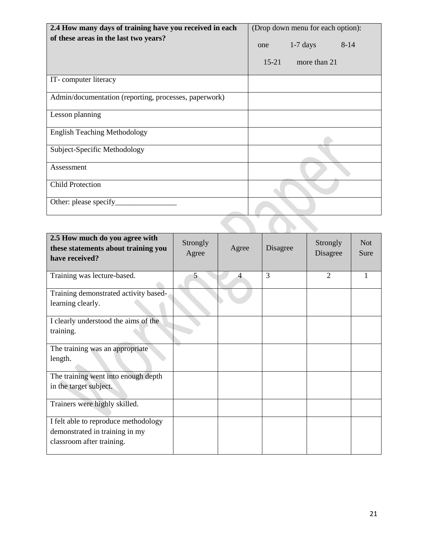| 2.4 How many days of training have you received in each | (Drop down menu for each option): |  |  |  |  |
|---------------------------------------------------------|-----------------------------------|--|--|--|--|
| of these areas in the last two years?                   | $1-7$ days<br>$8-14$<br>one       |  |  |  |  |
|                                                         | $15 - 21$<br>more than 21         |  |  |  |  |
| IT-computer literacy                                    |                                   |  |  |  |  |
| Admin/documentation (reporting, processes, paperwork)   |                                   |  |  |  |  |
| Lesson planning                                         |                                   |  |  |  |  |
| <b>English Teaching Methodology</b>                     |                                   |  |  |  |  |
| Subject-Specific Methodology                            |                                   |  |  |  |  |
| Assessment                                              |                                   |  |  |  |  |
| <b>Child Protection</b>                                 |                                   |  |  |  |  |
| Other: please specify_                                  |                                   |  |  |  |  |
|                                                         |                                   |  |  |  |  |

| 2.5 How much do you agree with<br>these statements about training you<br>have received?             | Strongly<br>Agree | Agree | Disagree | Strongly<br>Disagree | Not.<br>Sure |
|-----------------------------------------------------------------------------------------------------|-------------------|-------|----------|----------------------|--------------|
| Training was lecture-based.                                                                         | 5                 | 4     | 3        | $\overline{2}$       |              |
| Training demonstrated activity based-<br>learning clearly.                                          |                   |       |          |                      |              |
| I clearly understood the aims of the<br>training.                                                   |                   |       |          |                      |              |
| The training was an appropriate<br>length.                                                          |                   |       |          |                      |              |
| The training went into enough depth<br>in the target subject.                                       |                   |       |          |                      |              |
| Trainers were highly skilled.                                                                       |                   |       |          |                      |              |
| I felt able to reproduce methodology<br>demonstrated in training in my<br>classroom after training. |                   |       |          |                      |              |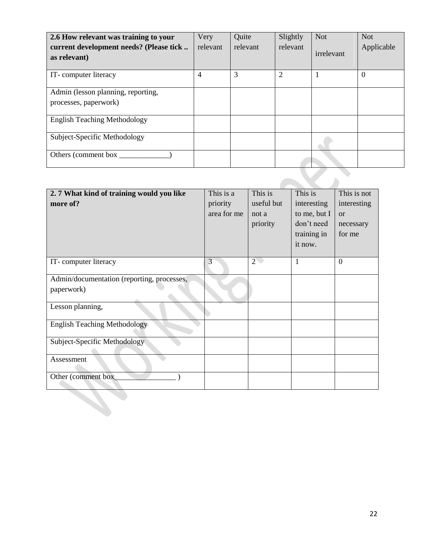| 2.6 How relevant was training to your<br>current development needs? (Please tick<br>as relevant) | Very<br>relevant | Quite<br>relevant | Slightly<br>relevant | <b>Not</b><br>irrelevant | <b>Not</b><br>Applicable |
|--------------------------------------------------------------------------------------------------|------------------|-------------------|----------------------|--------------------------|--------------------------|
| IT-computer literacy                                                                             | $\overline{4}$   | 3                 | 2                    |                          | $\boldsymbol{0}$         |
| Admin (lesson planning, reporting,                                                               |                  |                   |                      |                          |                          |
| processes, paperwork)                                                                            |                  |                   |                      |                          |                          |
| <b>English Teaching Methodology</b>                                                              |                  |                   |                      |                          |                          |
| Subject-Specific Methodology                                                                     |                  |                   |                      |                          |                          |
| Others (comment box                                                                              |                  |                   |                      |                          |                          |
|                                                                                                  |                  |                   |                      |                          |                          |

| 2.7 What kind of training would you like<br>more of?     | This is a<br>priority<br>area for me | This is<br>useful but<br>not a<br>priority | This is<br>interesting<br>to me, but I<br>don't need<br>training in<br>it now. | This is not<br>interesting<br><b>or</b><br>necessary<br>for me |
|----------------------------------------------------------|--------------------------------------|--------------------------------------------|--------------------------------------------------------------------------------|----------------------------------------------------------------|
| IT-computer literacy                                     | $\overline{3}$                       | $\overline{2}$                             | $\mathbf{1}$                                                                   | $\overline{0}$                                                 |
| Admin/documentation (reporting, processes,<br>paperwork) |                                      |                                            |                                                                                |                                                                |
| Lesson planning,                                         |                                      |                                            |                                                                                |                                                                |
| <b>English Teaching Methodology</b>                      |                                      |                                            |                                                                                |                                                                |
| Subject-Specific Methodology                             |                                      |                                            |                                                                                |                                                                |
| Assessment                                               |                                      |                                            |                                                                                |                                                                |
| Other (comment box_                                      |                                      |                                            |                                                                                |                                                                |
|                                                          |                                      |                                            |                                                                                |                                                                |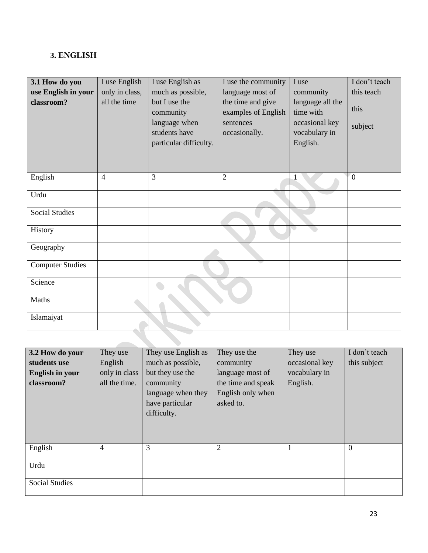## **3. ENGLISH**

| 3.1 How do you          | I use English  | I use English as                                                                       | I use the community                                                    | I use                                                                        | I don't teach   |
|-------------------------|----------------|----------------------------------------------------------------------------------------|------------------------------------------------------------------------|------------------------------------------------------------------------------|-----------------|
| use English in your     | only in class, | much as possible,                                                                      | language most of                                                       | community                                                                    | this teach      |
| classroom?              | all the time   | but I use the<br>community<br>language when<br>students have<br>particular difficulty. | the time and give<br>examples of English<br>sentences<br>occasionally. | language all the<br>time with<br>occasional key<br>vocabulary in<br>English. | this<br>subject |
| English                 | $\overline{4}$ | 3                                                                                      | $\overline{2}$                                                         |                                                                              | $\overline{0}$  |
| Urdu                    |                |                                                                                        |                                                                        |                                                                              |                 |
| <b>Social Studies</b>   |                |                                                                                        |                                                                        |                                                                              |                 |
| History                 |                |                                                                                        |                                                                        |                                                                              |                 |
| Geography               |                |                                                                                        |                                                                        |                                                                              |                 |
| <b>Computer Studies</b> |                |                                                                                        |                                                                        |                                                                              |                 |
| Science                 |                |                                                                                        |                                                                        |                                                                              |                 |
| Maths                   |                |                                                                                        |                                                                        |                                                                              |                 |
| Islamaiyat              |                |                                                                                        |                                                                        |                                                                              |                 |

| 3.2 How do your<br>students use<br><b>English in your</b><br>classroom? | They use<br>English<br>only in class<br>all the time. | They use English as<br>much as possible,<br>but they use the<br>community<br>language when they<br>have particular<br>difficulty. | They use the<br>community<br>language most of<br>the time and speak<br>English only when<br>asked to. | They use<br>occasional key<br>vocabulary in<br>English. | I don't teach<br>this subject |
|-------------------------------------------------------------------------|-------------------------------------------------------|-----------------------------------------------------------------------------------------------------------------------------------|-------------------------------------------------------------------------------------------------------|---------------------------------------------------------|-------------------------------|
| English                                                                 | 4                                                     | 3                                                                                                                                 | $\overline{2}$                                                                                        | 1                                                       | $\overline{0}$                |
| Urdu                                                                    |                                                       |                                                                                                                                   |                                                                                                       |                                                         |                               |
| <b>Social Studies</b>                                                   |                                                       |                                                                                                                                   |                                                                                                       |                                                         |                               |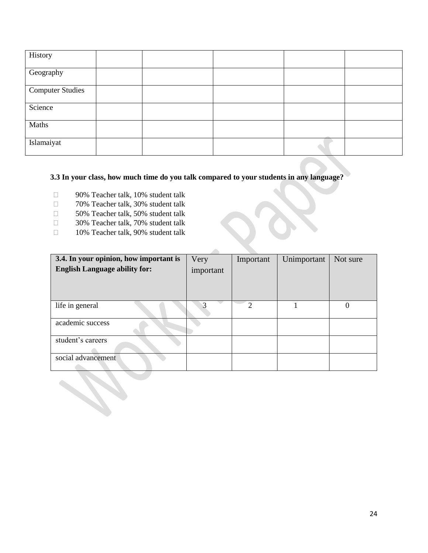| History                 |  |  |  |
|-------------------------|--|--|--|
| Geography               |  |  |  |
| <b>Computer Studies</b> |  |  |  |
| Science                 |  |  |  |
| Maths                   |  |  |  |
| Islamaiyat              |  |  |  |

#### **3.3 In your class, how much time do you talk compared to your students in any language?**

- □ 90% Teacher talk, 10% student talk
- □ 70% Teacher talk, 30% student talk
- □ 50% Teacher talk, 50% student talk
- □ 30% Teacher talk, 70% student talk
- □ 10% Teacher talk, 90% student talk

| 3.4. In your opinion, how important is | Very      | Important | Unimportant | Not sure |
|----------------------------------------|-----------|-----------|-------------|----------|
| <b>English Language ability for:</b>   | important |           |             |          |
|                                        |           |           |             |          |
|                                        |           |           |             |          |
|                                        |           |           |             |          |
| life in general                        |           | ↑         |             | 0        |
|                                        |           |           |             |          |
| academic success                       |           |           |             |          |
|                                        |           |           |             |          |
| student's careers                      |           |           |             |          |
|                                        |           |           |             |          |
| social advancement                     |           |           |             |          |
|                                        |           |           |             |          |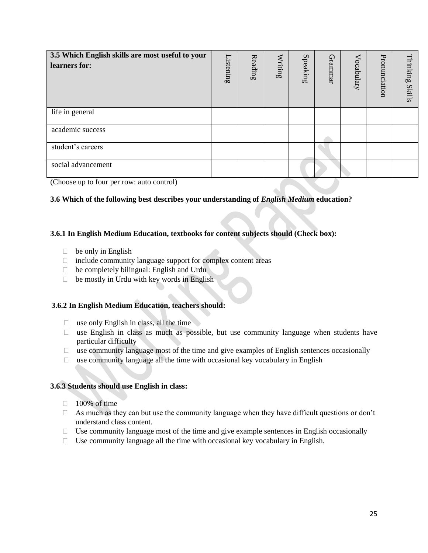| 3.5 Which English skills are most useful to your<br>learners for: | Listening | Reading | Writing | Speaking | Grammar | Vocabulary | Pronunciation | Thinking<br><b>Skills</b> |
|-------------------------------------------------------------------|-----------|---------|---------|----------|---------|------------|---------------|---------------------------|
| life in general                                                   |           |         |         |          |         |            |               |                           |
| academic success                                                  |           |         |         |          |         |            |               |                           |
| student's careers                                                 |           |         |         |          |         |            |               |                           |
| social advancement                                                |           |         |         |          |         |            |               |                           |

(Choose up to four per row: auto control)

#### **3.6 Which of the following best describes your understanding of** *English Medium* **education?**

#### **3.6.1 In English Medium Education, textbooks for content subjects should (Check box):**

- $\Box$  be only in English
- $\Box$  include community language support for complex content areas
- $\Box$  be completely bilingual: English and Urdu
- $\Box$  be mostly in Urdu with key words in English

#### **3.6.2 In English Medium Education, teachers should:**

- $\Box$  use only English in class, all the time
- $\Box$  use English in class as much as possible, but use community language when students have particular difficulty
- $\Box$  use community language most of the time and give examples of English sentences occasionally
- $\Box$  use community language all the time with occasional key vocabulary in English

#### **3.6.3 Students should use English in class:**

- $\Box$  100% of time
- $\Box$  As much as they can but use the community language when they have difficult questions or don't understand class content.
- $\Box$  Use community language most of the time and give example sentences in English occasionally
- $\Box$  Use community language all the time with occasional key vocabulary in English.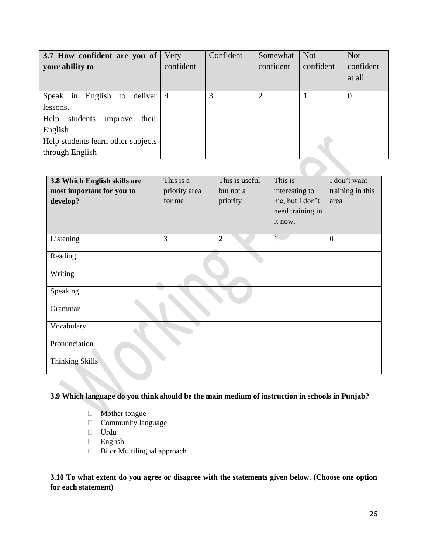| 3.7 How confident are you of<br>your ability to       | Very<br>confident | Confident | Somewhat<br>confident | <b>Not</b><br>confident | <b>Not</b><br>confident<br>at all |
|-------------------------------------------------------|-------------------|-----------|-----------------------|-------------------------|-----------------------------------|
| Speak in English to deliver $ 4$<br>lessons.          |                   | 3         | $\overline{2}$        |                         | $\overline{0}$                    |
| their<br>Help<br>students<br>improve<br>English       |                   |           |                       |                         |                                   |
| Help students learn other subjects<br>through English |                   |           |                       |                         |                                   |
|                                                       |                   |           |                       |                         |                                   |

| 3.8 Which English skills are<br>most important for you to<br>develop? | This is a<br>priority area<br>for me | This is useful<br>but not a<br>priority | This is<br>interesting to<br>me, but I don't<br>need training in<br>it now. | I don't want<br>training in this<br>area |
|-----------------------------------------------------------------------|--------------------------------------|-----------------------------------------|-----------------------------------------------------------------------------|------------------------------------------|
| Listening                                                             | 3                                    | $\overline{2}$                          |                                                                             | $\boldsymbol{0}$                         |
| Reading                                                               |                                      |                                         |                                                                             |                                          |
| Writing                                                               |                                      |                                         |                                                                             |                                          |
| Speaking                                                              |                                      |                                         |                                                                             |                                          |
| Grammar                                                               |                                      |                                         |                                                                             |                                          |
| Vocabulary                                                            |                                      |                                         |                                                                             |                                          |
| Pronunciation                                                         |                                      |                                         |                                                                             |                                          |
| <b>Thinking Skills</b>                                                |                                      |                                         |                                                                             |                                          |

#### **3.9 Which language do you think should be the main medium of instruction in schools in Punjab?**

- Mother tongue
- $\Box$  Community language
- Urdu
- English
- □ Bi or Multilingual approach

**3.10 To what extent do you agree or disagree with the statements given below. (Choose one option for each statement)**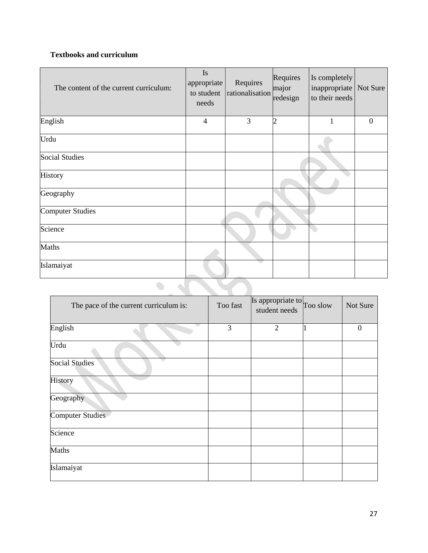## **Textbooks and curriculum**

| The content of the current curriculum: | <b>Is</b><br>appropriate<br>to student<br>needs | Requires<br>rationalisation major | Requires<br>redesign | Is completely<br>inappropriate   Not Sure<br>to their needs |                  |  |  |  |
|----------------------------------------|-------------------------------------------------|-----------------------------------|----------------------|-------------------------------------------------------------|------------------|--|--|--|
| English                                | $\overline{4}$                                  | 3                                 | $\overline{c}$       | 1                                                           | $\boldsymbol{0}$ |  |  |  |
| Urdu                                   |                                                 |                                   |                      |                                                             |                  |  |  |  |
| <b>Social Studies</b>                  |                                                 |                                   |                      |                                                             |                  |  |  |  |
| History                                |                                                 |                                   |                      |                                                             |                  |  |  |  |
| Geography                              |                                                 |                                   |                      |                                                             |                  |  |  |  |
| <b>Computer Studies</b>                |                                                 |                                   |                      |                                                             |                  |  |  |  |
| Science                                |                                                 |                                   |                      |                                                             |                  |  |  |  |
| Maths                                  |                                                 |                                   |                      |                                                             |                  |  |  |  |
| Islamaiyat                             |                                                 |                                   |                      |                                                             |                  |  |  |  |
|                                        |                                                 |                                   |                      |                                                             |                  |  |  |  |

| The pace of the current curriculum is: | Too fast | Is appropriate to Too slow<br>student needs | Not Sure         |
|----------------------------------------|----------|---------------------------------------------|------------------|
| English                                | 3        | $\mathfrak{2}$                              | $\boldsymbol{0}$ |
| Urdu                                   |          |                                             |                  |
| <b>Social Studies</b>                  |          |                                             |                  |
| History                                |          |                                             |                  |
| Geography                              |          |                                             |                  |
| <b>Computer Studies</b>                |          |                                             |                  |
| Science                                |          |                                             |                  |
| Maths                                  |          |                                             |                  |
| Islamaiyat                             |          |                                             |                  |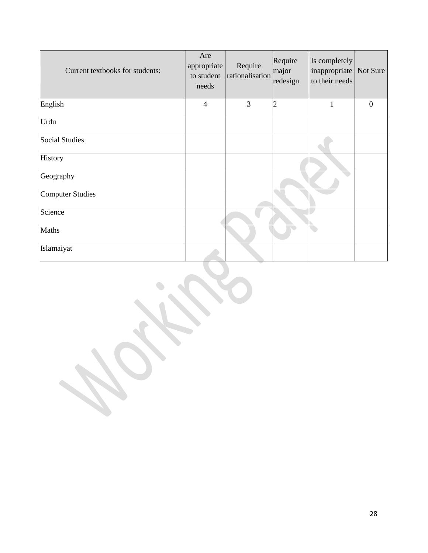| Current textbooks for students: | Are<br>appropriate<br>to student<br>needs | Require<br>rationalisation | Require<br>major<br>redesign | Is completely<br>inappropriate Not Sure<br>to their needs |              |
|---------------------------------|-------------------------------------------|----------------------------|------------------------------|-----------------------------------------------------------|--------------|
| English                         | $\overline{4}$                            | 3                          | $\overline{c}$               | $\mathbf{1}$                                              | $\mathbf{0}$ |
| Urdu                            |                                           |                            |                              |                                                           |              |
| <b>Social Studies</b>           |                                           |                            |                              |                                                           |              |
| History                         |                                           |                            |                              |                                                           |              |
| Geography                       |                                           |                            |                              |                                                           |              |
| <b>Computer Studies</b>         |                                           |                            |                              |                                                           |              |
| Science                         |                                           |                            |                              |                                                           |              |
| Maths                           |                                           |                            |                              |                                                           |              |
| Islamaiyat                      |                                           |                            |                              |                                                           |              |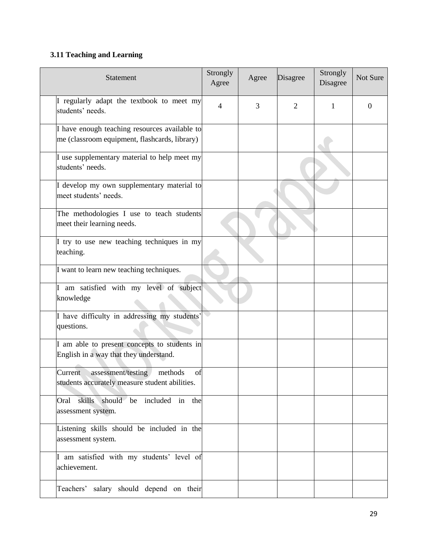## **3.11 Teaching and Learning**

| Statement                                                                                        | Strongly<br>Agree | Agree | Disagree       | Strongly<br>Disagree | Not Sure |
|--------------------------------------------------------------------------------------------------|-------------------|-------|----------------|----------------------|----------|
| I regularly adapt the textbook to meet my<br>students' needs.                                    | $\overline{4}$    | 3     | $\overline{2}$ | 1                    | $\Omega$ |
| I have enough teaching resources available to<br>me (classroom equipment, flashcards, library)   |                   |       |                |                      |          |
| I use supplementary material to help meet my<br>students' needs.                                 |                   |       |                |                      |          |
| I develop my own supplementary material to<br>meet students' needs.                              |                   |       |                |                      |          |
| The methodologies I use to teach students<br>meet their learning needs.                          |                   |       |                |                      |          |
| I try to use new teaching techniques in my<br>teaching.                                          |                   |       |                |                      |          |
| I want to learn new teaching techniques.                                                         |                   |       |                |                      |          |
| I am satisfied with my level of subject<br>knowledge                                             |                   |       |                |                      |          |
| I have difficulty in addressing my students'<br>questions.                                       |                   |       |                |                      |          |
| I am able to present concepts to students in<br>English in a way that they understand.           |                   |       |                |                      |          |
| methods<br>Current<br>assessment/testing<br>of<br>students accurately measure student abilities. |                   |       |                |                      |          |
| skills should be included in the<br>Oral<br>assessment system.                                   |                   |       |                |                      |          |
| Listening skills should be included in the<br>assessment system.                                 |                   |       |                |                      |          |
| I am satisfied with my students' level of<br>achievement.                                        |                   |       |                |                      |          |
| salary should depend on their<br>Teachers'                                                       |                   |       |                |                      |          |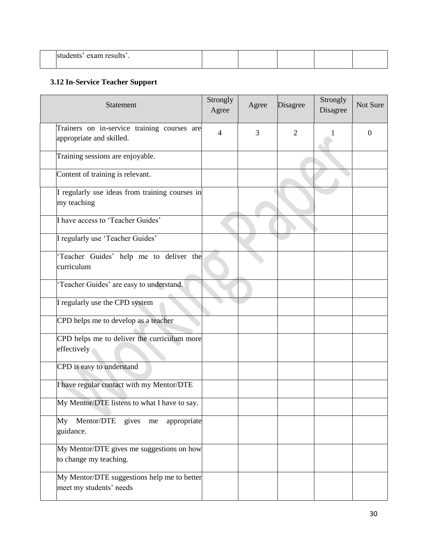| $- - - -$<br>rroc |  |  |  |
|-------------------|--|--|--|
|                   |  |  |  |

## **3.12 In-Service Teacher Support**

| Statement                                                               | Strongly<br>Agree | Agree | Disagree       | Strongly<br>Disagree | Not Sure |
|-------------------------------------------------------------------------|-------------------|-------|----------------|----------------------|----------|
| Trainers on in-service training courses are<br>appropriate and skilled. | 4                 | 3     | $\overline{2}$ |                      | 0        |
| Training sessions are enjoyable.                                        |                   |       |                |                      |          |
| Content of training is relevant.                                        |                   |       |                |                      |          |
| I regularly use ideas from training courses in<br>my teaching           |                   |       |                |                      |          |
| I have access to 'Teacher Guides'                                       |                   |       |                |                      |          |
| I regularly use 'Teacher Guides'                                        |                   |       |                |                      |          |
| 'Teacher Guides' help me to deliver the<br>curriculum                   |                   |       |                |                      |          |
| 'Teacher Guides' are easy to understand.                                |                   |       |                |                      |          |
| I regularly use the CPD system                                          |                   |       |                |                      |          |
| CPD helps me to develop as a teacher                                    |                   |       |                |                      |          |
| CPD helps me to deliver the curriculum more<br>effectively              |                   |       |                |                      |          |
| CPD is easy to understand                                               |                   |       |                |                      |          |
| I have regular contact with my Mentor/DTE                               |                   |       |                |                      |          |
| My Mentor/DTE listens to what I have to say.                            |                   |       |                |                      |          |
| My Mentor/DTE gives me<br>appropriate<br>guidance.                      |                   |       |                |                      |          |
| My Mentor/DTE gives me suggestions on how<br>to change my teaching.     |                   |       |                |                      |          |
| My Mentor/DTE suggestions help me to better<br>meet my students' needs  |                   |       |                |                      |          |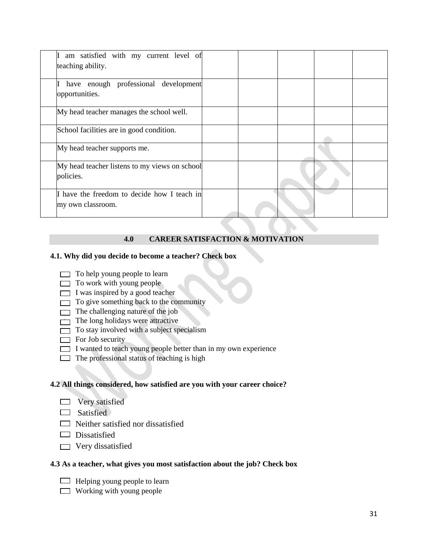| am satisfied with my current level of<br>teaching ability.       |  |  |  |
|------------------------------------------------------------------|--|--|--|
| have enough professional development<br>opportunities.           |  |  |  |
| My head teacher manages the school well.                         |  |  |  |
| School facilities are in good condition.                         |  |  |  |
| My head teacher supports me.                                     |  |  |  |
| My head teacher listens to my views on school<br>policies.       |  |  |  |
| I have the freedom to decide how I teach in<br>my own classroom. |  |  |  |

#### **4.0 CAREER SATISFACTION & MOTIVATION**

#### **4.1. Why did you decide to become a teacher? Check box**

- $\Box$  To help young people to learn
- $\Box$  To work with young people
- $\Box$  I was inspired by a good teacher
- $\Box$  To give something back to the community
- $\Box$  The challenging nature of the job
- $\Box$  The long holidays were attractive
- $\Box$  To stay involved with a subject specialism
- $\Box$  For Job security
- $\Box$  I wanted to teach young people better than in my own experience
- $\Box$  The professional status of teaching is high

#### **4.2 All things considered, how satisfied are you with your career choice?**

- $\Box$  Very satisfied
- $\Box$  Satisfied
- $\Box$  Neither satisfied nor dissatisfied
- $\Box$  Dissatisfied
- $\Box$  Very dissatisfied

#### **4.3 As a teacher, what gives you most satisfaction about the job? Check box**

- $\Box$  Helping young people to learn
- $\Box$  Working with young people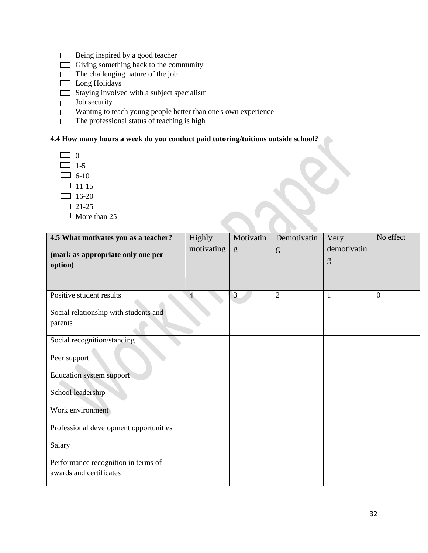- $\Box$  Being inspired by a good teacher
- $\Box$  Giving something back to the community
- $\Box$  The challenging nature of the job
- $\Box$  Long Holidays
- $\Box$  Staying involved with a subject specialism
- $\Box$  Job security
- Wanting to teach young people better than one's own experience
- $\Box$  The professional status of teaching is high

#### **4.4 How many hours a week do you conduct paid tutoring/tuitions outside school?**

- $\Box$  0
- $\Box$  1-5
- $\Box$  6-10
- $\Box$  11-15
- $\Box$  16-20
- $\Box$  21-25
- $\Box$  More than 25

| 4.5 What motivates you as a teacher?   | Highly         | Motivatin | Demotivatin    | Very        | No effect |
|----------------------------------------|----------------|-----------|----------------|-------------|-----------|
| (mark as appropriate only one per      | motivating     | g         | g              | demotivatin |           |
| option)                                |                |           |                | g           |           |
|                                        |                |           |                |             |           |
|                                        |                |           |                |             |           |
| Positive student results               | $\overline{4}$ | 3         | $\overline{2}$ | 1           | $\Omega$  |
| Social relationship with students and  |                |           |                |             |           |
| parents                                |                |           |                |             |           |
| Social recognition/standing            |                |           |                |             |           |
| Peer support                           |                |           |                |             |           |
| <b>Education system support</b>        |                |           |                |             |           |
| School leadership                      |                |           |                |             |           |
| Work environment                       |                |           |                |             |           |
| Professional development opportunities |                |           |                |             |           |
| Salary                                 |                |           |                |             |           |
| Performance recognition in terms of    |                |           |                |             |           |
| awards and certificates                |                |           |                |             |           |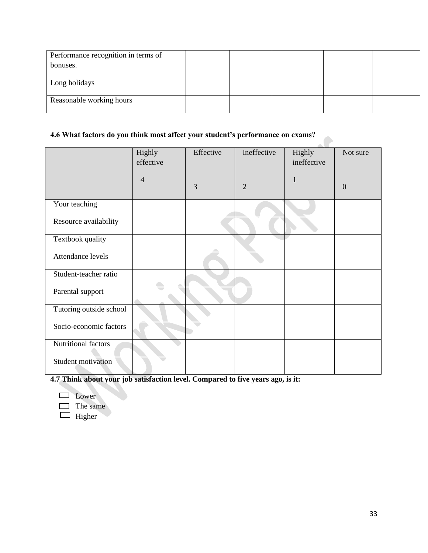| Performance recognition in terms of |  |  |  |
|-------------------------------------|--|--|--|
| bonuses.                            |  |  |  |
|                                     |  |  |  |
| Long holidays                       |  |  |  |
|                                     |  |  |  |
| Reasonable working hours            |  |  |  |
|                                     |  |  |  |

 $\bullet$ 

#### **4.6 What factors do you think most affect your student's performance on exams?**

|                         | Highly         | Effective | Ineffective    | Highly      | Not sure         |
|-------------------------|----------------|-----------|----------------|-------------|------------------|
|                         | effective      |           |                | ineffective |                  |
|                         | $\overline{4}$ | 3         | $\overline{2}$ | 1           | $\boldsymbol{0}$ |
|                         |                |           |                |             |                  |
| Your teaching           |                |           |                |             |                  |
| Resource availability   |                |           |                |             |                  |
| Textbook quality        |                |           |                |             |                  |
| Attendance levels       |                |           |                |             |                  |
| Student-teacher ratio   |                |           |                |             |                  |
| Parental support        |                |           |                |             |                  |
| Tutoring outside school |                |           |                |             |                  |
| Socio-economic factors  |                |           |                |             |                  |
| Nutritional factors     |                |           |                |             |                  |
| Student motivation      |                |           |                |             |                  |

**4.7 Think about your job satisfaction level. Compared to five years ago, is it:**

**Lower** 

 $\Box$  The same

 $\Box$  Higher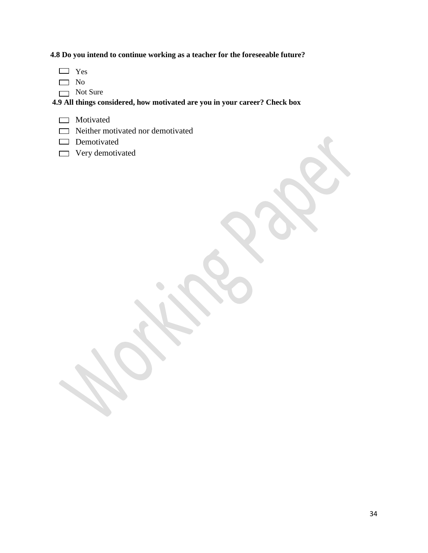**4.8 Do you intend to continue working as a teacher for the foreseeable future?**

- Yes
- $\Box$  No
- Not Sure

**4.9 All things considered, how motivated are you in your career? Check box**

- **Motivated**
- Neither motivated nor demotivated
- Demotivated
- **Very demotivated**